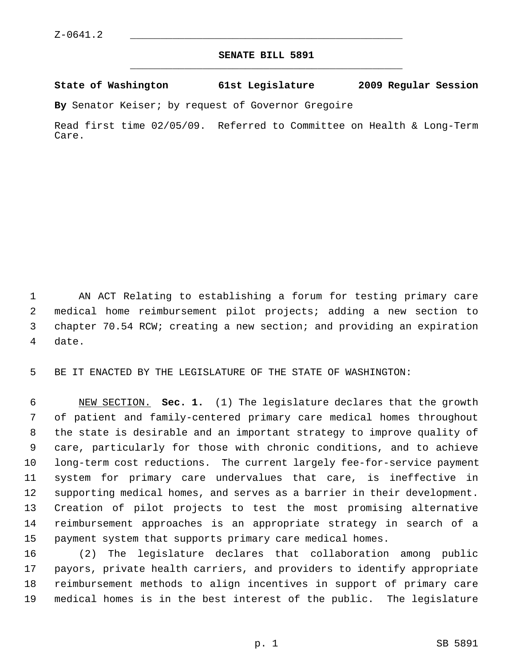## **SENATE BILL 5891** \_\_\_\_\_\_\_\_\_\_\_\_\_\_\_\_\_\_\_\_\_\_\_\_\_\_\_\_\_\_\_\_\_\_\_\_\_\_\_\_\_\_\_\_\_

## **State of Washington 61st Legislature 2009 Regular Session**

**By** Senator Keiser; by request of Governor Gregoire

Read first time 02/05/09. Referred to Committee on Health & Long-Term Care.

 1 AN ACT Relating to establishing a forum for testing primary care 2 medical home reimbursement pilot projects; adding a new section to 3 chapter 70.54 RCW; creating a new section; and providing an expiration 4 date.

5 BE IT ENACTED BY THE LEGISLATURE OF THE STATE OF WASHINGTON:

 6 NEW SECTION. **Sec. 1.** (1) The legislature declares that the growth 7 of patient and family-centered primary care medical homes throughout 8 the state is desirable and an important strategy to improve quality of 9 care, particularly for those with chronic conditions, and to achieve 10 long-term cost reductions. The current largely fee-for-service payment 11 system for primary care undervalues that care, is ineffective in 12 supporting medical homes, and serves as a barrier in their development. 13 Creation of pilot projects to test the most promising alternative 14 reimbursement approaches is an appropriate strategy in search of a 15 payment system that supports primary care medical homes.

16 (2) The legislature declares that collaboration among public 17 payors, private health carriers, and providers to identify appropriate 18 reimbursement methods to align incentives in support of primary care 19 medical homes is in the best interest of the public. The legislature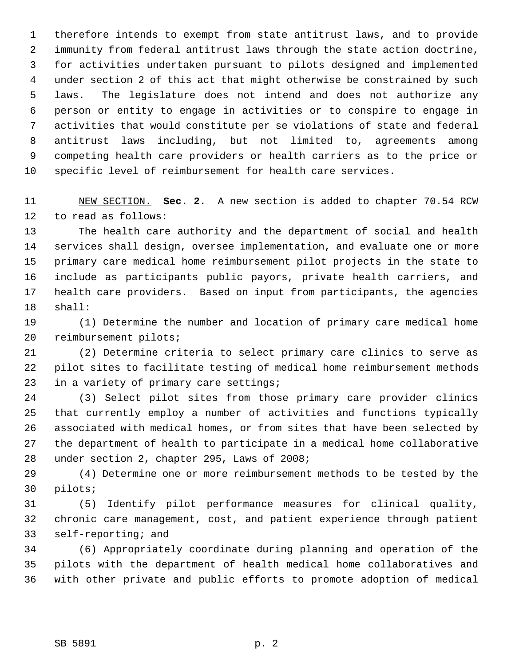1 therefore intends to exempt from state antitrust laws, and to provide 2 immunity from federal antitrust laws through the state action doctrine, 3 for activities undertaken pursuant to pilots designed and implemented 4 under section 2 of this act that might otherwise be constrained by such 5 laws. The legislature does not intend and does not authorize any 6 person or entity to engage in activities or to conspire to engage in 7 activities that would constitute per se violations of state and federal 8 antitrust laws including, but not limited to, agreements among 9 competing health care providers or health carriers as to the price or 10 specific level of reimbursement for health care services.

11 NEW SECTION. **Sec. 2.** A new section is added to chapter 70.54 RCW 12 to read as follows:

13 The health care authority and the department of social and health 14 services shall design, oversee implementation, and evaluate one or more 15 primary care medical home reimbursement pilot projects in the state to 16 include as participants public payors, private health carriers, and 17 health care providers. Based on input from participants, the agencies 18 shall:

19 (1) Determine the number and location of primary care medical home 20 reimbursement pilots;

21 (2) Determine criteria to select primary care clinics to serve as 22 pilot sites to facilitate testing of medical home reimbursement methods 23 in a variety of primary care settings;

24 (3) Select pilot sites from those primary care provider clinics 25 that currently employ a number of activities and functions typically 26 associated with medical homes, or from sites that have been selected by 27 the department of health to participate in a medical home collaborative 28 under section 2, chapter 295, Laws of 2008;

29 (4) Determine one or more reimbursement methods to be tested by the 30 pilots;

31 (5) Identify pilot performance measures for clinical quality, 32 chronic care management, cost, and patient experience through patient 33 self-reporting; and

34 (6) Appropriately coordinate during planning and operation of the 35 pilots with the department of health medical home collaboratives and 36 with other private and public efforts to promote adoption of medical